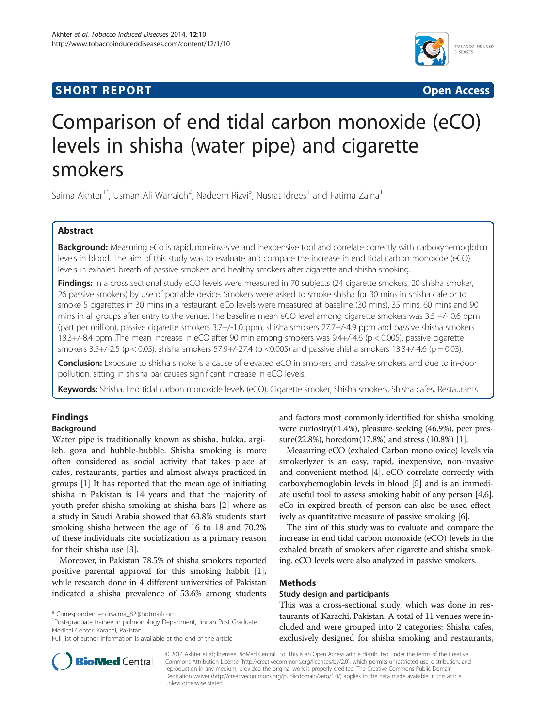## **SHORT REPORT SHORT CONSUMING THE CONSUMING THE CONSUMING THE CONSUMING THE CONSUMING THE CONSUMING THE CONSUMING THE CONSUMING THE CONSUMING THE CONSUMING THE CONSUMING THE CONSUMING THE CONSUMING THE CONSUMING THE CO**



# Comparison of end tidal carbon monoxide (eCO) levels in shisha (water pipe) and cigarette smokers

Saima Akhter<sup>1\*</sup>, Usman Ali Warraich<sup>2</sup>, Nadeem Rizvi<sup>3</sup>, Nusrat Idrees<sup>1</sup> and Fatima Zaina<sup>1</sup>

## Abstract

Background: Measuring eCo is rapid, non-invasive and inexpensive tool and correlate correctly with carboxyhemoglobin levels in blood. The aim of this study was to evaluate and compare the increase in end tidal carbon monoxide (eCO) levels in exhaled breath of passive smokers and healthy smokers after cigarette and shisha smoking.

Findings: In a cross sectional study eCO levels were measured in 70 subjects (24 cigarette smokers, 20 shisha smoker, 26 passive smokers) by use of portable device. Smokers were asked to smoke shisha for 30 mins in shisha cafe or to smoke 5 cigarettes in 30 mins in a restaurant. eCo levels were measured at baseline (30 mins), 35 mins, 60 mins and 90 mins in all groups after entry to the venue. The baseline mean eCO level among cigarette smokers was 3.5 +/- 0.6 ppm (part per million), passive cigarette smokers 3.7+/-1.0 ppm, shisha smokers 27.7+/-4.9 ppm and passive shisha smokers 18.3+/-8.4 ppm .The mean increase in eCO after 90 min among smokers was 9.4+/-4.6 (p < 0.005), passive cigarette smokers  $3.5+/2.5$  (p < 0.05), shisha smokers  $57.9+/27.4$  (p < 0.005) and passive shisha smokers  $13.3+/4.6$  (p = 0.03).

Conclusion: Exposure to shisha smoke is a cause of elevated eCO in smokers and passive smokers and due to in-door pollution, sitting in shisha bar causes significant increase in eCO levels.

**Keywords:** Shisha, End tidal carbon monoxide levels (eCO), Cigarette smoker, Shisha smokers, Shisha cafes, Restaurants

## Findings

## Background

Water pipe is traditionally known as shisha, hukka, argileh, goza and hubble-bubble. Shisha smoking is more often considered as social activity that takes place at cafes, restaurants, parties and almost always practiced in groups [[1\]](#page-3-0) It has reported that the mean age of initiating shisha in Pakistan is 14 years and that the majority of youth prefer shisha smoking at shisha bars [\[2](#page-3-0)] where as a study in Saudi Arabia showed that 63.8% students start smoking shisha between the age of 16 to 18 and 70.2% of these individuals cite socialization as a primary reason for their shisha use [\[3\]](#page-3-0).

Moreover, in Pakistan 78.5% of shisha smokers reported positive parental approval for this smoking habbit [[1](#page-3-0)], while research done in 4 different universities of Pakistan indicated a shisha prevalence of 53.6% among students

Post-graduate trainee in pulmonology Department, Jinnah Post Graduate Medical Center, Karachi, Pakistan



Measuring eCO (exhaled Carbon mono oxide) levels via smokerlyzer is an easy, rapid, inexpensive, non-invasive and convenient method [\[4\]](#page-3-0). eCO correlate correctly with carboxyhemoglobin levels in blood [\[5](#page-3-0)] and is an immediate useful tool to assess smoking habit of any person [[4,6](#page-3-0)]. eCo in expired breath of person can also be used effectively as quantitative measure of passive smoking [[6\]](#page-3-0).

The aim of this study was to evaluate and compare the increase in end tidal carbon monoxide (eCO) levels in the exhaled breath of smokers after cigarette and shisha smoking. eCO levels were also analyzed in passive smokers.

#### Methods

#### Study design and participants

This was a cross-sectional study, which was done in restaurants of Karachi, Pakistan. A total of 11 venues were included and were grouped into 2 categories: Shisha cafes, exclusively designed for shisha smoking and restaurants,



© 2014 Akhter et al.; licensee BioMed Central Ltd. This is an Open Access article distributed under the terms of the Creative Commons Attribution License [\(http://creativecommons.org/licenses/by/2.0\)](http://creativecommons.org/licenses/by/2.0), which permits unrestricted use, distribution, and reproduction in any medium, provided the original work is properly credited. The Creative Commons Public Domain Dedication waiver [\(http://creativecommons.org/publicdomain/zero/1.0/](http://creativecommons.org/publicdomain/zero/1.0/)) applies to the data made available in this article, unless otherwise stated.

<sup>\*</sup> Correspondence: [drsaima\\_82@hotmail.com](mailto:drsaima_82@hotmail.com) <sup>1</sup>

Full list of author information is available at the end of the article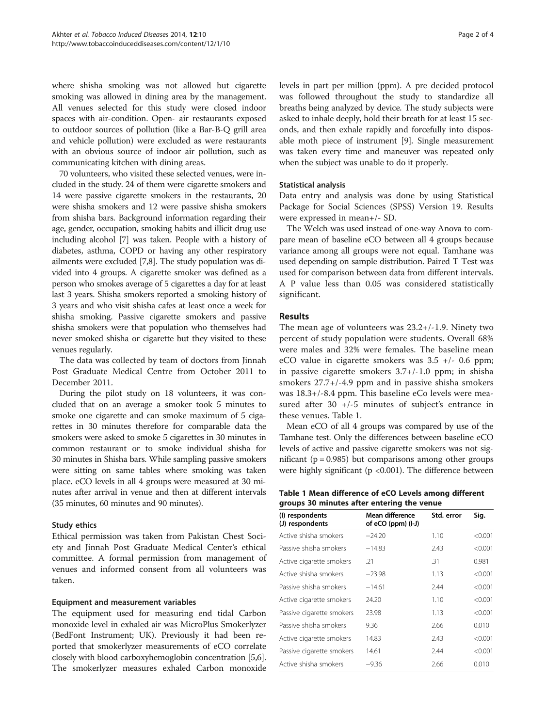where shisha smoking was not allowed but cigarette smoking was allowed in dining area by the management. All venues selected for this study were closed indoor spaces with air-condition. Open- air restaurants exposed to outdoor sources of pollution (like a Bar-B-Q grill area and vehicle pollution) were excluded as were restaurants with an obvious source of indoor air pollution, such as communicating kitchen with dining areas.

70 volunteers, who visited these selected venues, were included in the study. 24 of them were cigarette smokers and 14 were passive cigarette smokers in the restaurants, 20 were shisha smokers and 12 were passive shisha smokers from shisha bars. Background information regarding their age, gender, occupation, smoking habits and illicit drug use including alcohol [\[7\]](#page-3-0) was taken. People with a history of diabetes, asthma, COPD or having any other respiratory ailments were excluded [\[7,8\]](#page-3-0). The study population was divided into 4 groups. A cigarette smoker was defined as a person who smokes average of 5 cigarettes a day for at least last 3 years. Shisha smokers reported a smoking history of 3 years and who visit shisha cafes at least once a week for shisha smoking. Passive cigarette smokers and passive shisha smokers were that population who themselves had never smoked shisha or cigarette but they visited to these venues regularly.

The data was collected by team of doctors from Jinnah Post Graduate Medical Centre from October 2011 to December 2011.

During the pilot study on 18 volunteers, it was concluded that on an average a smoker took 5 minutes to smoke one cigarette and can smoke maximum of 5 cigarettes in 30 minutes therefore for comparable data the smokers were asked to smoke 5 cigarettes in 30 minutes in common restaurant or to smoke individual shisha for 30 minutes in Shisha bars. While sampling passive smokers were sitting on same tables where smoking was taken place. eCO levels in all 4 groups were measured at 30 minutes after arrival in venue and then at different intervals (35 minutes, 60 minutes and 90 minutes).

#### Study ethics

Ethical permission was taken from Pakistan Chest Society and Jinnah Post Graduate Medical Center's ethical committee. A formal permission from management of venues and informed consent from all volunteers was taken.

#### Equipment and measurement variables

The equipment used for measuring end tidal Carbon monoxide level in exhaled air was MicroPlus Smokerlyzer (BedFont Instrument; UK). Previously it had been reported that smokerlyzer measurements of eCO correlate closely with blood carboxyhemoglobin concentration [[5](#page-3-0),[6](#page-3-0)]. The smokerlyzer measures exhaled Carbon monoxide levels in part per million (ppm). A pre decided protocol was followed throughout the study to standardize all breaths being analyzed by device. The study subjects were asked to inhale deeply, hold their breath for at least 15 seconds, and then exhale rapidly and forcefully into disposable moth piece of instrument [[9\]](#page-3-0). Single measurement was taken every time and maneuver was repeated only when the subject was unable to do it properly.

## Statistical analysis

Data entry and analysis was done by using Statistical Package for Social Sciences (SPSS) Version 19. Results were expressed in mean+/- SD.

The Welch was used instead of one-way Anova to compare mean of baseline eCO between all 4 groups because variance among all groups were not equal. Tamhane was used depending on sample distribution. Paired T Test was used for comparison between data from different intervals. A P value less than 0.05 was considered statistically significant.

## Results

The mean age of volunteers was 23.2+/-1.9. Ninety two percent of study population were students. Overall 68% were males and 32% were females. The baseline mean eCO value in cigarette smokers was 3.5 +/- 0.6 ppm; in passive cigarette smokers 3.7+/-1.0 ppm; in shisha smokers 27.7+/-4.9 ppm and in passive shisha smokers was 18.3+/-8.4 ppm. This baseline eCo levels were measured after  $30 + (-5)$  minutes of subject's entrance in these venues. Table 1.

Mean eCO of all 4 groups was compared by use of the Tamhane test. Only the differences between baseline eCO levels of active and passive cigarette smokers was not significant ( $p = 0.985$ ) but comparisons among other groups were highly significant ( $p < 0.001$ ). The difference between

|  | Table 1 Mean difference of eCO Levels among different |  |  |
|--|-------------------------------------------------------|--|--|
|  | groups 30 minutes after entering the venue            |  |  |

| (I) respondents<br>(J) respondents | Mean difference<br>of eCO (ppm) (I-J) | Std. error | Sig.    |
|------------------------------------|---------------------------------------|------------|---------|
| Active shisha smokers              | $-24.20$                              | 1.10       | < 0.001 |
| Passive shisha smokers             | $-14.83$                              | 2.43       | < 0.001 |
| Active cigarette smokers           | .21                                   | .31        | 0.981   |
| Active shisha smokers              | $-23.98$                              | 1.13       | < 0.001 |
| Passive shisha smokers             | $-14.61$                              | 2.44       | < 0.001 |
| Active cigarette smokers           | 24.20                                 | 1.10       | < 0.001 |
| Passive cigarette smokers          | 23.98                                 | 1.13       | < 0.001 |
| Passive shisha smokers             | 9.36                                  | 2.66       | 0.010   |
| Active cigarette smokers           | 14.83                                 | 2.43       | < 0.001 |
| Passive cigarette smokers          | 14.61                                 | 2.44       | < 0.001 |
| Active shisha smokers              | $-9.36$                               | 2.66       | 0.010   |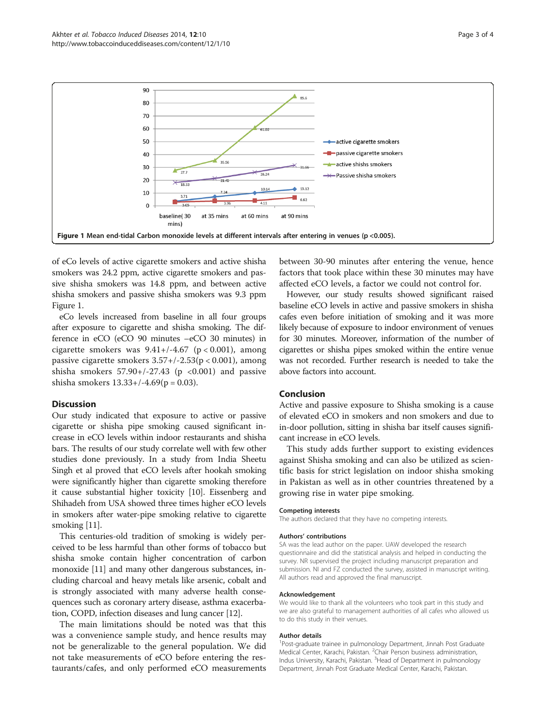

of eCo levels of active cigarette smokers and active shisha smokers was 24.2 ppm, active cigarette smokers and passive shisha smokers was 14.8 ppm, and between active shisha smokers and passive shisha smokers was 9.3 ppm Figure 1.

eCo levels increased from baseline in all four groups after exposure to cigarette and shisha smoking. The difference in eCO (eCO 90 minutes –eCO 30 minutes) in cigarette smokers was  $9.41+/-4.67$  (p < 0.001), among passive cigarette smokers  $3.57+/-2.53(p < 0.001)$ , among shisha smokers  $57.90+/-27.43$  (p <0.001) and passive shisha smokers  $13.33+/-4.69(p = 0.03)$ .

#### **Discussion**

Our study indicated that exposure to active or passive cigarette or shisha pipe smoking caused significant increase in eCO levels within indoor restaurants and shisha bars. The results of our study correlate well with few other studies done previously. In a study from India Sheetu Singh et al proved that eCO levels after hookah smoking were significantly higher than cigarette smoking therefore it cause substantial higher toxicity [[10](#page-3-0)]. Eissenberg and Shihadeh from USA showed three times higher eCO levels in smokers after water-pipe smoking relative to cigarette smoking [\[11](#page-3-0)].

This centuries-old tradition of smoking is widely perceived to be less harmful than other forms of tobacco but shisha smoke contain higher concentration of carbon monoxide [\[11\]](#page-3-0) and many other dangerous substances, including charcoal and heavy metals like arsenic, cobalt and is strongly associated with many adverse health consequences such as coronary artery disease, asthma exacerbation, COPD, infection diseases and lung cancer [[12](#page-3-0)].

The main limitations should be noted was that this was a convenience sample study, and hence results may not be generalizable to the general population. We did not take measurements of eCO before entering the restaurants/cafes, and only performed eCO measurements between 30-90 minutes after entering the venue, hence factors that took place within these 30 minutes may have affected eCO levels, a factor we could not control for.

However, our study results showed significant raised baseline eCO levels in active and passive smokers in shisha cafes even before initiation of smoking and it was more likely because of exposure to indoor environment of venues for 30 minutes. Moreover, information of the number of cigarettes or shisha pipes smoked within the entire venue was not recorded. Further research is needed to take the above factors into account.

### Conclusion

Active and passive exposure to Shisha smoking is a cause of elevated eCO in smokers and non smokers and due to in-door pollution, sitting in shisha bar itself causes significant increase in eCO levels.

This study adds further support to existing evidences against Shisha smoking and can also be utilized as scientific basis for strict legislation on indoor shisha smoking in Pakistan as well as in other countries threatened by a growing rise in water pipe smoking.

#### Competing interests

The authors declared that they have no competing interests.

#### Authors' contributions

SA was the lead author on the paper. UAW developed the research questionnaire and did the statistical analysis and helped in conducting the survey. NR supervised the project including manuscript preparation and submission. NI and FZ conducted the survey, assisted in manuscript writing. All authors read and approved the final manuscript.

#### Acknowledgement

We would like to thank all the volunteers who took part in this study and we are also grateful to management authorities of all cafes who allowed us to do this study in their venues.

#### Author details

1 Post-graduate trainee in pulmonology Department, Jinnah Post Graduate Medical Center, Karachi, Pakistan. <sup>2</sup>Chair Person business administration, Indus University, Karachi, Pakistan. <sup>3</sup> Head of Department in pulmonology Department, Jinnah Post Graduate Medical Center, Karachi, Pakistan.